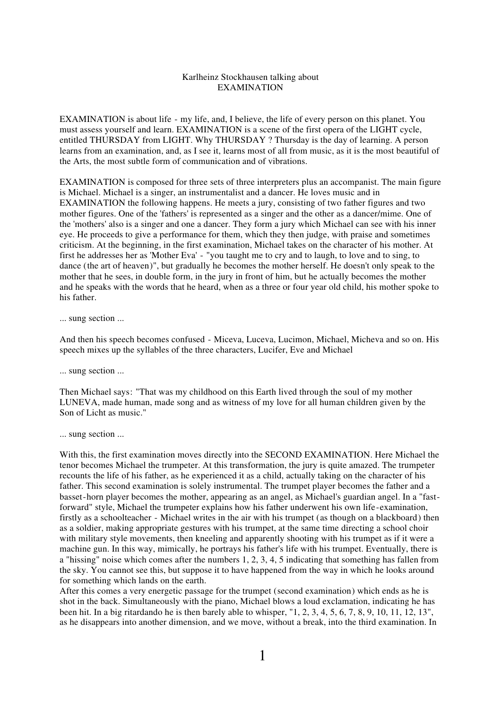## Karlheinz Stockhausen talking about EXAMINATION

EXAMINATION is about life - my life, and, I believe, the life of every person on this planet. You must assess yourself and learn. EXAMINATION is a scene of the first opera of the LIGHT cycle, entitled THURSDAY from LIGHT. Why THURSDAY ? Thursday is the day of learning. A person learns from an examination, and, as I see it, learns most of all from music, as it is the most beautiful of the Arts, the most subtle form of communication and of vibrations.

EXAMINATION is composed for three sets of three interpreters plus an accompanist. The main figure is Michael. Michael is a singer, an instrumentalist and a dancer. He loves music and in EXAMINATION the following happens. He meets a jury, consisting of two father figures and two mother figures. One of the 'fathers' is represented as a singer and the other as a dancer/mime. One of the 'mothers' also is a singer and one a dancer. They form a jury which Michael can see with his inner eye. He proceeds to give a performance for them, which they then judge, with praise and sometimes criticism. At the beginning, in the first examination, Michael takes on the character of his mother. At first he addresses her as 'Mother Eva' - "you taught me to cry and to laugh, to love and to sing, to dance (the art of heaven)", but gradually he becomes the mother herself. He doesn't only speak to the mother that he sees, in double form, in the jury in front of him, but he actually becomes the mother and he speaks with the words that he heard, when as a three or four year old child, his mother spoke to his father.

... sung section ...

And then his speech becomes confused - Miceva, Luceva, Lucimon, Michael, Micheva and so on. His speech mixes up the syllables of the three characters, Lucifer, Eve and Michael

... sung section ...

Then Michael says: "That was my childhood on this Earth lived through the soul of my mother LUNEVA, made human, made song and as witness of my love for all human children given by the Son of Licht as music."

... sung section ...

With this, the first examination moves directly into the SECOND EXAMINATION. Here Michael the tenor becomes Michael the trumpeter. At this transformation, the jury is quite amazed. The trumpeter recounts the life of his father, as he experienced it as a child, actually taking on the character of his father. This second examination is solely instrumental. The trumpet player becomes the father and a basset-horn player becomes the mother, appearing as an angel, as Michael's guardian angel. In a "fastforward" style, Michael the trumpeter explains how his father underwent his own life-examination, firstly as a schoolteacher - Michael writes in the air with his trumpet (as though on a blackboard) then as a soldier, making appropriate gestures with his trumpet, at the same time directing a school choir with military style movements, then kneeling and apparently shooting with his trumpet as if it were a machine gun. In this way, mimically, he portrays his father's life with his trumpet. Eventually, there is a "hissing" noise which comes after the numbers 1, 2, 3, 4, 5 indicating that something has fallen from the sky. You cannot see this, but suppose it to have happened from the way in which he looks around for something which lands on the earth.

After this comes a very energetic passage for the trumpet (second examination) which ends as he is shot in the back. Simultaneously with the piano, Michael blows a loud exclamation, indicating he has been hit. In a big ritardando he is then barely able to whisper, "1, 2, 3, 4, 5, 6, 7, 8, 9, 10, 11, 12, 13", as he disappears into another dimension, and we move, without a break, into the third examination. In